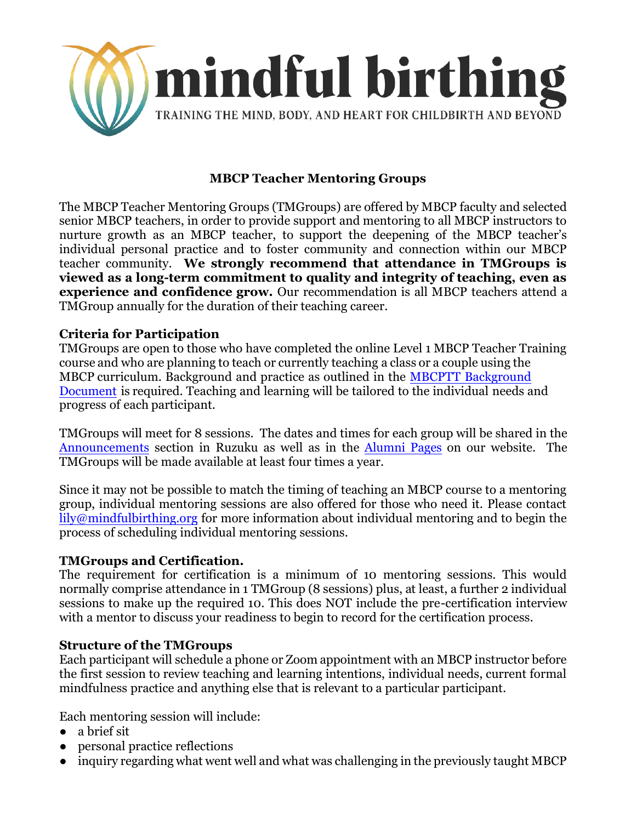

# **MBCP Teacher Mentoring Groups**

The MBCP Teacher Mentoring Groups (TMGroups) are offered by MBCP faculty and selected senior MBCP teachers, in order to provide support and mentoring to all MBCP instructors to nurture growth as an MBCP teacher, to support the deepening of the MBCP teacher's individual personal practice and to foster community and connection within our MBCP teacher community. **We strongly recommend that attendance in TMGroups is viewed as a long-term commitment to quality and integrity of teaching, even as experience and confidence grow.** Our recommendation is all MBCP teachers attend a TMGroup annually for the duration of their teaching career.

#### **Criteria for Participation**

TMGroups are open to those who have completed the online Level 1 MBCP Teacher Training course and who are planning to teach or currently teaching a class or a couple using the MBCP curriculum. Background and practice as outlined in the MBCPTT Background Document [is required. Teaching and learning will be tailored to the individual needs a](https://www.mindfulbirthing.org/mbcptt-background)nd progress of each participant.

TMGroups will meet for 8 sessions. The dates and times for each group will be shared in the [Announcements](https://app.ruzuku.com/courses/9632/activities/242567) section in Ruzuku as well as in the [Alumni Pages](https://www.mindfulbirthing.org/alumni) on our website. The TMGroups will be made available at least four times a year.

Since it may not be possible to match the timing of teaching an MBCP course to a mentoring group, individual mentoring sessions are also offered for those who need it. Please contact [lily@mindfulbirthing.org](mailto:lily@mindfulbirthing.org) for more information about individual mentoring and to begin the process of scheduling individual mentoring sessions.

## **TMGroups and Certification.**

The requirement for certification is a minimum of 10 mentoring sessions. This would normally comprise attendance in 1 TMGroup (8 sessions) plus, at least, a further 2 individual sessions to make up the required 10. This does NOT include the pre-certification interview with a mentor to discuss your readiness to begin to record for the certification process.

## **Structure of the TMGroups**

Each participant will schedule a phone or Zoom appointment with an MBCP instructor before the first session to review teaching and learning intentions, individual needs, current formal mindfulness practice and anything else that is relevant to a particular participant.

Each mentoring session will include:

- a brief sit
- personal practice reflections
- inquiry regarding what went well and what was challenging in the previously taught MBCP